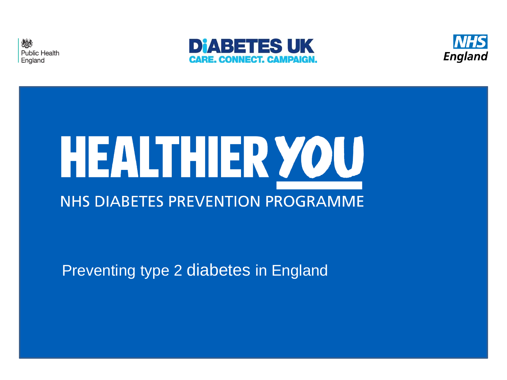





# HEALTHIER YOU **NHS DIABETES PREVENTION PROGRAMME**

#### Preventing type 2 diabetes in England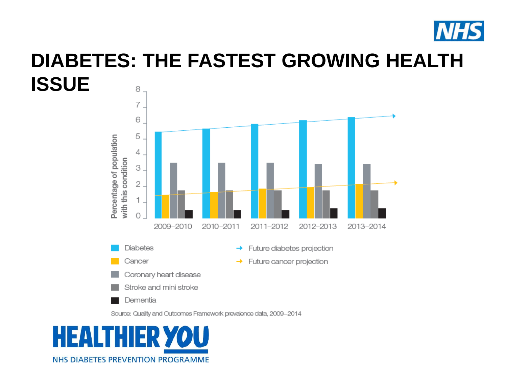

#### **DIABETES: THE FASTEST GROWING HEALTH ISSUE**8



→

→

Future diabetes projection

Future cancer projection

Source: Quality and Outcomes Framework prevalence data, 2009-2014



**Diabetes** 

Cancer

Dementia

Coronary heart disease Stroke and mini stroke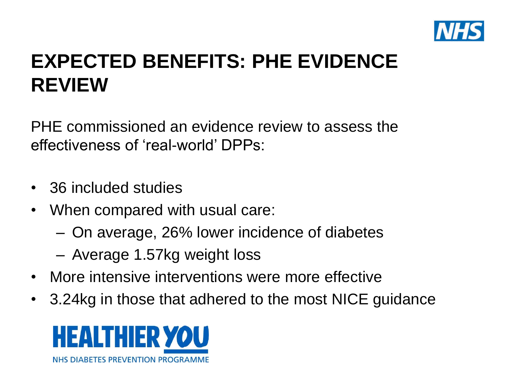

## **EXPECTED BENEFITS: PHE EVIDENCE REVIEW**

PHE commissioned an evidence review to assess the effectiveness of 'real-world' DPPs:

- 36 included studies
- When compared with usual care:
	- On average, 26% lower incidence of diabetes
	- Average 1.57kg weight loss
- More intensive interventions were more effective
- 3.24kg in those that adhered to the most NICE guidance

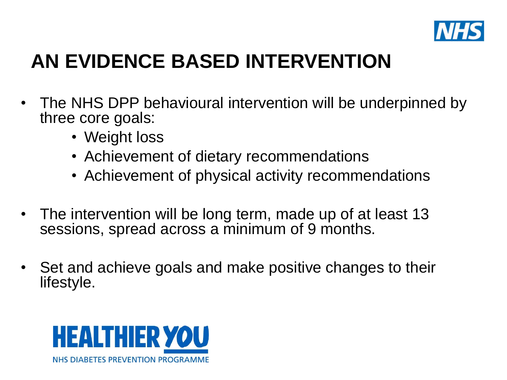

## **AN EVIDENCE BASED INTERVENTION**

- The NHS DPP behavioural intervention will be underpinned by three core goals:
	- Weight loss
	- Achievement of dietary recommendations
	- Achievement of physical activity recommendations
- The intervention will be long term, made up of at least 13 sessions, spread across a minimum of 9 months.
- Set and achieve goals and make positive changes to their lifestyle.

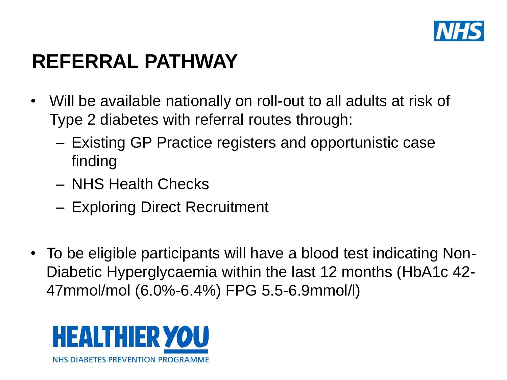

#### **REFERRAL PATHWAY**

- Will be available nationally on roll-out to all adults at risk of Type 2 diabetes with referral routes through:
	- Existing GP Practice registers and opportunistic case finding
	- NHS Health Checks
	- Exploring Direct Recruitment
- To be eligible participants will have a blood test indicating Non-Diabetic Hyperglycaemia within the last 12 months (HbA1c 42- 47mmol/mol (6.0%-6.4%) FPG 5.5-6.9mmol/l)

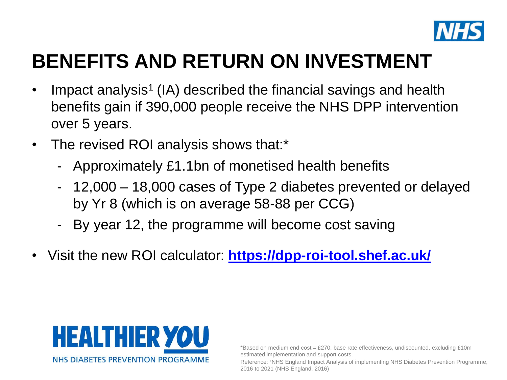

#### **BENEFITS AND RETURN ON INVESTMENT**

- Impact analysis<sup>1</sup> (IA) described the financial savings and health benefits gain if 390,000 people receive the NHS DPP intervention over 5 years.
- The revised ROI analysis shows that:\*
	- Approximately £1.1bn of monetised health benefits
	- 12,000 18,000 cases of Type 2 diabetes prevented or delayed by Yr 8 (which is on average 58-88 per CCG)
	- By year 12, the programme will become cost saving
- Visit the new ROI calculator: **<https://dpp-roi-tool.shef.ac.uk/>**



\*Based on medium end cost = £270, base rate effectiveness, undiscounted, excluding £10m estimated implementation and support costs.

Reference: 1NHS England Impact Analysis of implementing NHS Diabetes Prevention Programme, 2016 to 2021 (NHS England, 2016)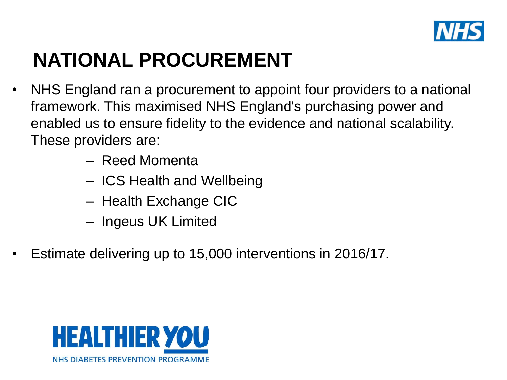

## **NATIONAL PROCUREMENT**

- NHS England ran a procurement to appoint four providers to a national framework. This maximised NHS England's purchasing power and enabled us to ensure fidelity to the evidence and national scalability. These providers are:
	- Reed Momenta
	- ICS Health and Wellbeing
	- Health Exchange CIC
	- Ingeus UK Limited
- Estimate delivering up to 15,000 interventions in 2016/17.

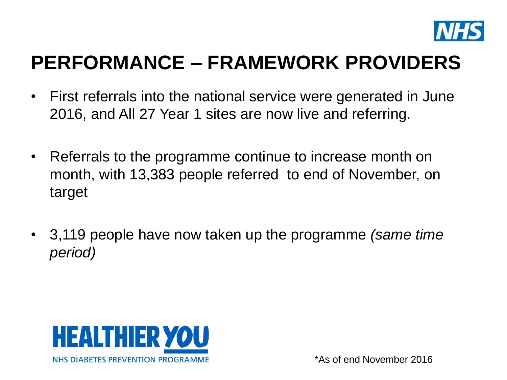

#### **PERFORMANCE – FRAMEWORK PROVIDERS**

- First referrals into the national service were generated in June 2016, and All 27 Year 1 sites are now live and referring.
- Referrals to the programme continue to increase month on month, with 13,383 people referred to end of November, on target
- 3,119 people have now taken up the programme *(same time period)*

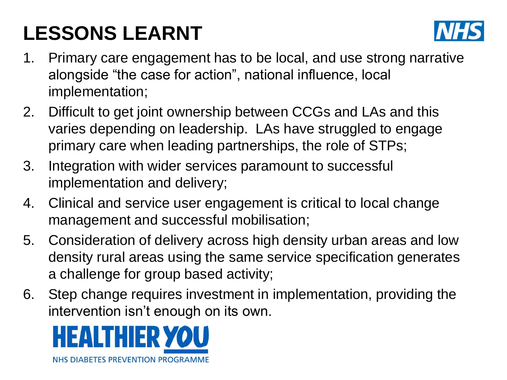# **LESSONS LEARNT**



- 1. Primary care engagement has to be local, and use strong narrative alongside "the case for action", national influence, local implementation;
- 2. Difficult to get joint ownership between CCGs and LAs and this varies depending on leadership. LAs have struggled to engage primary care when leading partnerships, the role of STPs;
- 3. Integration with wider services paramount to successful implementation and delivery;
- 4. Clinical and service user engagement is critical to local change management and successful mobilisation;
- 5. Consideration of delivery across high density urban areas and low density rural areas using the same service specification generates a challenge for group based activity;
- 6. Step change requires investment in implementation, providing the intervention isn't enough on its own.